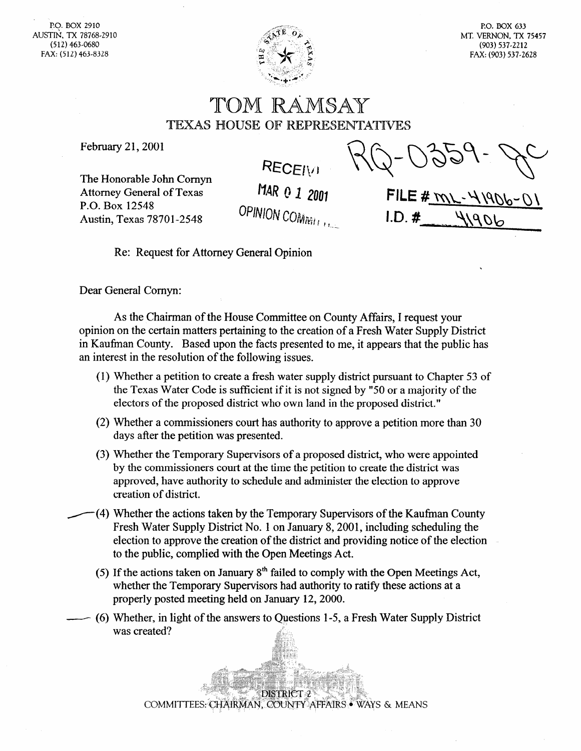P.Q. BOX 2910 **AUSTIK,TX** 78768-2910 (512) 463-0680 FAX: (512) 463-8328



PO. BOX 633 MT. VERNON, TX 75457 (903) 537-22 12 FAX: (903) 537-2628

## **TOM TEXAS HOUSE OF REPRESENTATIVES**

February 21, 2001

**RECEIVI** 

The Honorable John Comyn Attorney General of Texas P.O. Box 12548 Austin, Texas 78701-2548

MAR 0 1 2001 **OPINION COMMITTED** 

FILE #  $ML - 4190$  $1.D. #$ 

Re: Request for Attorney General Opinion

Dear General Comyn:

As the Chairman of the House Committee on County Affairs, I request your opinion on the certain matters pertaining to the creation of a Fresh Water Supply District in Kaufman County. Based upon the facts presented to me, it appears that the public has an interest in the resolution of the following issues.

- (1) Whether a petition to create a fresh water supply district pursuant to Chapter 53 of the Texas Water Code is sufficient if it is not signed by "50 or a majority of the electors of the proposed district who own land in the proposed district."
- (2) Whether a commissioners court has authority to approve a petition more than 30 days after the petition was presented.
- (3) Whether the Temporary Supervisors of a proposed district, who were appointed by the commissioners court at the time the petition to create the district was approved, have authority to schedule and administer the election to approve creation of district.
- f(4) Whether the actions taken by the Temporary Supervisors of the Kaufman County Fresh Water Supply District No. 1 on January 8, 2001, including scheduling the election to approve the creation of the district and providing notice of the election to the public, complied with the Open Meetings Act.
	- (5) If the actions taken on January  $8<sup>th</sup>$  failed to comply with the Open Meetings Act, whether the Temporary Supervisors had authority to ratify these actions at a properly posted meeting held on January 12,200O.
- $(6)$  Whether, in light of the answers to Questions 1-5, a Fresh Water Supply District was created?

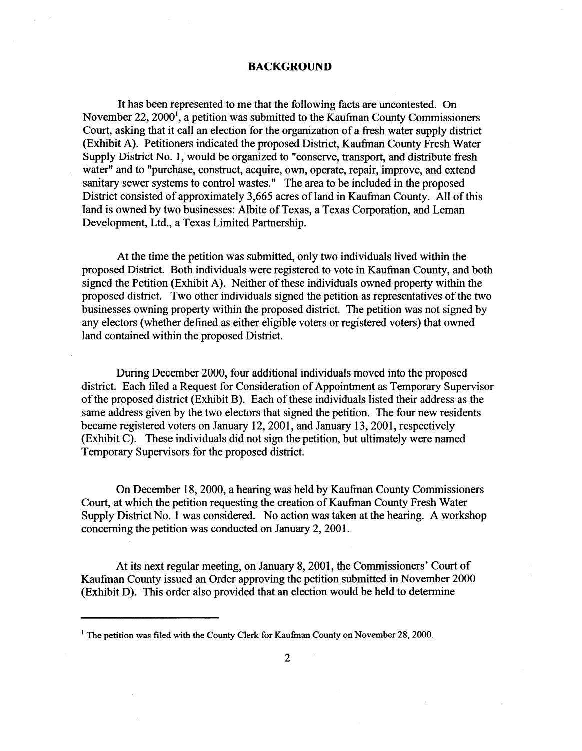#### **BACKGROUND**

It has been represented to me that the following facts are uncontested. On November 22,2000', a petition was submitted to the Kaufman County Commissioners Court, asking that it call an election for the organization of a fresh water supply district (Exhibit A). Petitioners indicated the proposed District, Kaufman County Fresh Water Supply District No. 1, would be organized to "conserve, transport, and distribute fresh water" and to "purchase, construct, acquire, own, operate, repair, improve, and extend sanitary sewer systems to control wastes." The area to be included in the proposed District consisted of approximately 3,665 acres of land in Kaufman County. All of this land is owned by two businesses: Albite of Texas, a Texas Corporation, and Leman Development, Ltd., a Texas Limited Partnership.

At the time the petition was submitted, only two individuals lived within the proposed District. Both individuals were registered to vote in Kaufman County, and both proposed District. Both individuals were registered to vote in Kaufman County, and both signed the Petrion (Exhibit A). Neither of these individuals owned property within the proposed district. Two other individuals signed the petition as representatives of the two<br>businesses owning property within the proposed district. The petition was not signed by businesses owning property within the proposed district. The petition was not signed by any electors (whether defined as either eligible voters or registered voters) that owned<br>land assistant landship that we want of District land contained within the proposed District.

During December 2000, four additional individuals moved into the proposed district. Each filed a Request for Consideration of Appointment as Temporary Supervisor of the proposed district (Exhibit B). Each of these individuals listed their address as the same address given by the two electors that signed the petition. The four new residents became registered voters on January 12, 2001, and January 13, 2001, respectively  $E$ xhibit C). These individuals did not sign the petition, but ultimately were named Temporary Supervisors for the proposed district. Temporary Supervisors for the proposed district.

On December 18, 2000, a hearing was held by Kaufman County Commissioners<br>Court, at which the petition requesting the creation of Kaufman County Fresh Water Supply District No. 1 was considered. No action was taken at the hearing. A workshop concerning the petition was conducted on January 2, 2001. concerning the petition was conducted on January 2,200 l. The petition was conducted on January 2,200 l. J. D.

At its next regular meeting, on January 8, 2001, the Commissioners' Court of Kaufman County issued an Order approving the petition submitted in November 2000 (Exhibit D). This order also provided that an election would be held to determine

<sup>&</sup>lt;sup>1</sup> The petition was filed with the County Clerk for Kaufman County on November 28, 2000.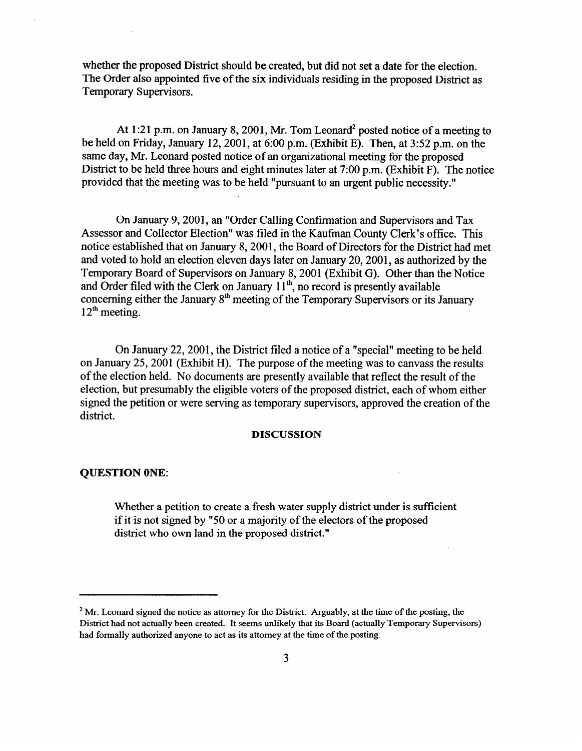whether the proposed District should be created, but did not set a date for the election. The Order also appointed five of the six individuals residing in the proposed District as Temporary Supervisors.

At 1:21 p.m. on January 8, 2001, Mr. Tom Leonard<sup>2</sup> posted notice of a meeting to be held on Friday, January 12,2001, at 6:00 p.m. (Exhibit E). Then, at 3:52 p.m. on the same day, Mr. Leonard posted notice of an organizational meeting for the proposed District to be held three hours and eight minutes later at 7:00 p.m. (Exhibit F). The notice provided that the meeting was to be held "pursuant to an urgent public necessity."

On January 9,2001, an "Order Calling Confirmation and Supervisors and Tax Assessor and Collector Election" was filed in the Kaufman County Clerk's office. This notice established that on January 8, 2001, the Board of Directors for the District had met and voted to hold an election eleven days later on January 20, 2001, as authorized by the Temporary Board of Supervisors on January 8, 2001 (Exhibit G). Other than the Notice and Order filed with the Clerk on January  $11^{th}$ , no record is presently available and Order filed with the Clerk on January II', no record is presently available concerning either the January 8th meeting of the Temporary Supervisors or its January<br>10<sup>th</sup> annual  $12<sup>th</sup>$  meeting.

On January 22, 2001, the District filed a notice of a "special" meeting to be held<br>on January 25, 2001 (Exhibit H). The purpose of the meeting was to canvass the results of the election held. No documents are presently available that reflect the result of the election, but presumably the eligible voters of the proposed district, each of whom either election, but presumably the eligible voters of the proposed district, each of whom either signed the petition or were serving as temporary supervisors, approved the creation of the district.

# **QUESTION ONE:**

Whether a petition to create a fresh water supply district under is sufficient if it is not signed by "50 or a majority of the electors of the proposed district who own land in the proposed district." district who own land in the proposed district."

 $<sup>2</sup>$  Mr. Leonard signed the notice as attorney for the District. Arguably, at the time of the posting, the</sup> District had not actually been created. It seems unlikely that its Board (actually Temporary Supervisors) had formally authorized anyone to act as its attorney at the time of the posting.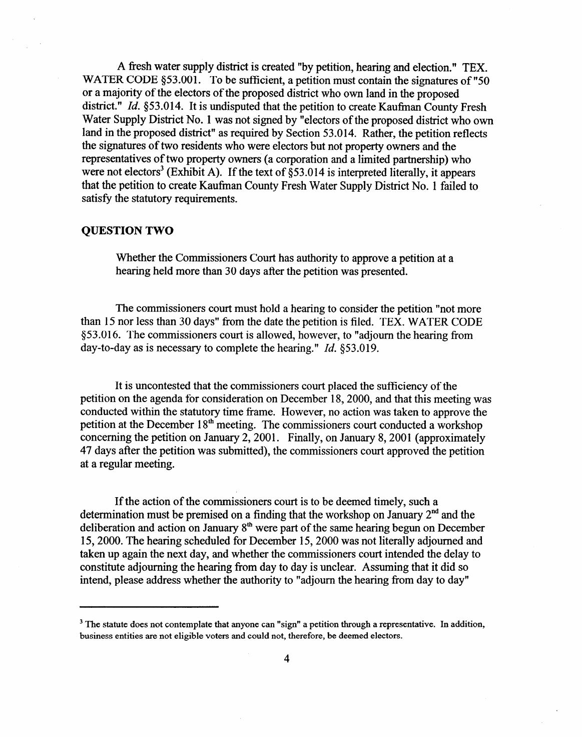A fresh water supply district is created "by petition, hearing and election." TEX. WATER CODE §53.001. To be sufficient, a petition must contain the signatures of "50" or a majority of the electors of the proposed district who own land in the proposed district." *Id.* §53.014. It is undisputed that the petition to create Kaufman County Fresh Water Supply District No. 1 was not signed by "electors of the proposed district who own land in the proposed district" as required by Section 53.014. Rather, the petition reflects the signatures of two residents who were electors but not property owners and the representatives of two property owners (a corporation and a limited partnership) who were not electors<sup>3</sup> (Exhibit A). If the text of  $\S 53.014$  is interpreted literally, it appears that the petition to create Kaufman County Fresh Water Supply District No. 1 failed to satisfy the statutory requirements.

#### **QUESTION TWO**

Whether the Commissioners Court has authority to approve a petition at a hearing held more than 30 days after the petition was presented.

The commissioners court must hold a hearing to consider the petition "not more than 15 nor less than 30 days" from the date the petition is filed. TEX. WATER CODE  $§53.016$ . The commissioners court is allowed, however, to "adjourn the hearing from  $\frac{1}{2}$ 3.010. The commissioners court is allowed, however, to "adjourn the hearing from day-to-day as is necessary to complete the hearing." *Id.* \$53.019.

It is uncontested that the commissioners court placed the sufficiency of the petition on the agenda for consideration on December 18, 2000, and that this meeting was conducted within the statutory time frame. However, no action was taken to approve the petition at the December  $18<sup>th</sup>$  meeting. The commissioners court conducted a workshop concerning the petition on January 2, 2001. Finally, on January 8, 2001 (approximately 47 days after the petition was submitted), the commissioners court approved the petition  $\frac{1}{4}$  days after the petition was submitted), the commissioners court approved the petition  $\overline{a}$ 

If the action of the commissioners court is to be deemed timely, such a determination must be premised on a finding that the workshop on January  $2<sup>nd</sup>$  and the deliberation and action on January  $8<sup>th</sup>$  were part of the same hearing begun on December 15, 2000. The hearing scheduled for December 15, 2000 was not literally adjourned and taken up again the next day, and whether the commissioners court intended the delay to constitute adjourning the hearing from day to day is unclear. Assuming that it did so intend, please address whether the authority to "adjourn the hearing from day to day"

intend, please address whether the authority to "adjourn the hearing from day to day"

 $3$  The statute does not contemplate that anyone can "sign" a petition through a representative. In addition, business entities are not eligible voters and could not, therefore, be deemed electors.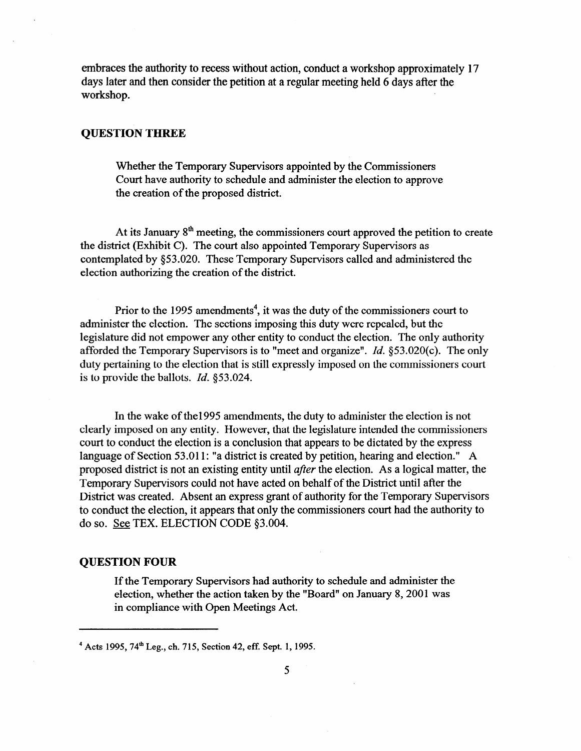embraces the authority to recess without action, conduct a workshop approximately 17 days later and then consider the petition at a regular meeting held 6 days after the workshop.

#### **QUESTION THREE**

Whether the Temporary Supervisors appointed by the Commissioners Court have authority to schedule and administer the election to approve the creation of the proposed district.

At its January  $8<sup>th</sup>$  meeting, the commissioners court approved the petition to create the district (Exhibit C). The court also appointed Temporary Supervisors as contemplated by \$53.020. These Temporary Supervisors called and administered the election authorizing the creation of the district.

Prior to the 1995 amendments<sup>4</sup>, it was the duty of the commissioners court to administer the election. The sections imposing this duty were repealed, but the legislature did not empower any other entity to conduct the election. The only authority afforded the Temporary Supervisors is to "meet and organize". *Id. \$53.020(c). The only*  duty pertaining to the election that is still expressly imposed on the commissioners court is to provide the ballots. *Id, \$53.024.* 

In the wake of the1995 amendments, the duty to administer the election is not clearly imposed on any entity. However, that the legislature intended the commissioners court to conduct the election is a conclusion that appears to be dictated by the express language of Section 53.011: "a district is created by petition, hearing and election." A proposed district is not an existing entity until *after* the election. As a logical matter, the Temporary Supervisors could not have acted on behalf of the District until after the District was created. Absent an express grant of authority for the Temporary Supervisors to conduct the election, it appears that only the commissioners court had the authority to do so. See TEX. ELECTION CODE §3.004.

#### **QUESTION FOUR**

If the Temporary Supervisors had authority to schedule and administer the election, whether the action taken by the "Board" on January 8,200l was in compliance with Open Meetings Act.

 $4$  Acts 1995,  $74^{\text{th}}$  Leg., ch. 715, Section 42, eff. Sept. 1, 1995.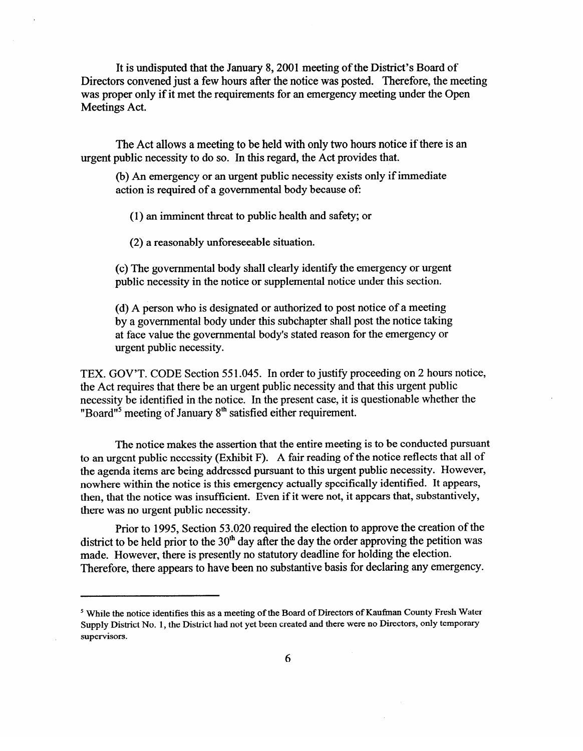It is undisputed that the January 8,200l meeting of the District's Board of Directors convened just a few hours after the notice was posted. Therefore, the meeting was proper only if it met the requirements for an emergency meeting under the Open Meetings Act.

The Act allows a meeting to be held with only two hours notice if there is an urgent public necessity to do so. In this regard, the Act provides that.

(b) An emergency or an urgent public necessity exists only if immediate action is required of a governmental body because of:

(1) an imminent threat to public health and safety; or

(2) a reasonably unforeseeable situation.

(c) The governmental body shall clearly identify the emergency or urgent public necessity in the notice or supplemental notice under this section.

(d) A person who is designated or authorized to post notice of a meeting<br>by a governmental body under this subchapter shall post the notice taking by a governmental body under this subchapter shall post the notice taking at face value the governmental body's stated reason for the emergency or urgent public necessity.

TEX. GOV'T. CODE Section 551.045. In order to justify proceeding on 2 hours notice, the Act requires that there be an urgent public necessity and that this urgent public necessity be identified in the notice. In the present case, it is questionable whether the necessity be identified in the notice. In the present case, it is questionable whether are Board meeting of January 8th satisfied either requirement.

The notice makes the assertion that the entire meeting is to be conducted pursuant<br>to an urgent public necessity (Exhibit F). A fair reading of the notice reflects that all of the agenda items are being addressed pursuant to this urgent public necessity. However, nowhere within the notice is this emergency actually specifically identified. It appears, then, that the notice was insufficient. Even if it were not, it appears that, substantively, there was no urgent public necessity.

Prior to 1995, Section 53.020 required the election to approve the creation of the district to be held prior to the  $30<sup>th</sup>$  day after the day the order approving the petition was made. However, there is presently no statutory deadline for holding the election. Therefore, there appears to have been no substantive basis for declaring any emergency.

<sup>&</sup>lt;sup>5</sup> While the notice identifies this as a meeting of the Board of Directors of Kaufman County Fresh Water Supply District No. 1, the District had not yet been created and there were no Directors, only temporary  $\mathbf{s}$ upervisors, the District No. 1, the District had not yet been created and there were no Directors, only temporary  $\mathbf{s}$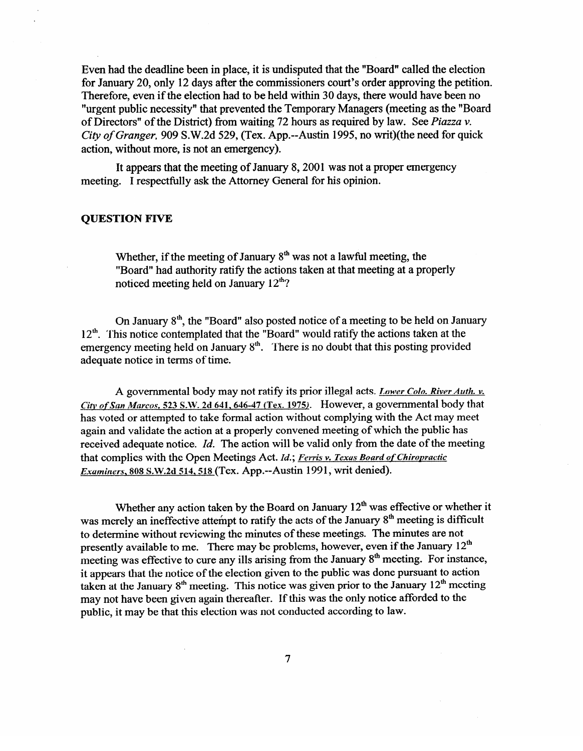Even had the deadline been in place, it is undisputed that the "Board" called the election for January 20, only **12** days after the commissioners court's order approving the petition. Therefore, even if the election had to be held within 30 days, there would have been no "urgent public necessity" that prevented the Temporary Managers (meeting as the "Board of Directors" of the District) from waiting 72 hours as required by law. See *Piazza v*. *City of Granger,* 909 S.W.2d 529, (Tex. App.--Austin 1995, no writ)(the need for quick action, without more, is not an emergency).

It appears that the meeting of January 8,200l was not a proper emergency meeting. I respectfully ask the Attorney General for his opinion.

### **QUESTION FIVE**

Whether, if the meeting of January 8<sup>\*</sup> was not a lawful meeting, the Board" had authority ratify the actions taken at that meeting at a properly noticed meeting held on January  $12<sup>th</sup>$ ?

On January  $8<sup>th</sup>$ , the "Board" also posted notice of a meeting to be held on January  $12<sup>th</sup>$ . This notice contemplated that the "Board" would ratify the actions taken at the  $12'$ . This notice contemplated that the "Board" would ratify the actions taken at the emergency meeting here on January  $S$ . There is no doubt that this posting provided adequate notice in terms of time.

A governmental body may not ratify its prior illegal acts. *Lower Colo. River Auth. v.*<br>City of San Marcos, 523 S.W. 2d 641, 646-47 (Tex. 1975). However, a governmental body that has voted or attempted to take formal action without complying with the Act may meet again and validate the action at a properly convened meeting of which the public has received adequate notice. Id. The action will be valid only from the date of the meeting that complies with the Open Meetings Act. *Id.*; *Ferris v. Texas Board of Chiropractic* Examiners, 808 S.W.2d 514, 518 (Tex. App.--Austin 1991, writ denied). *Exminers. 8118* S.!V.Zd 514,518 (Tex. App.--Austin 199 1, writ denied).

Whether any action taken by the Board on January  $12<sup>th</sup>$  was effective or whether it was merely an ineffective attempt to ratify the acts of the January 8<sup>th</sup> meeting is difficult to determine without reviewing the minutes of these meetings. The minutes are not presently available to me. There may be problems, however, even if the January  $12<sup>th</sup>$ meeting was effective to cure any ills arising from the January 8<sup>th</sup> meeting. For instance, it appears that the notice of the election given to the public was done pursuant to action taken at the January  $8<sup>th</sup>$  meeting. This notice was given prior to the January 12<sup>th</sup> meeting may not have been given again thereafter. If this was the only notice afforded to the public, it may be that this election was not conducted according to law.